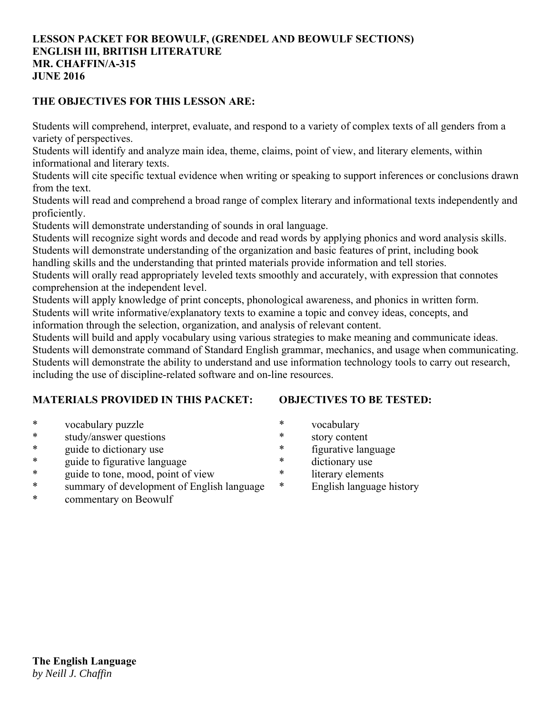# **LESSON PACKET FOR BEOWULF, (GRENDEL AND BEOWULF SECTIONS) ENGLISH III, BRITISH LITERATURE MR. CHAFFIN/A-315 JUNE 2016**

# **THE OBJECTIVES FOR THIS LESSON ARE:**

Students will comprehend, interpret, evaluate, and respond to a variety of complex texts of all genders from a variety of perspectives.

Students will identify and analyze main idea, theme, claims, point of view, and literary elements, within informational and literary texts.

Students will cite specific textual evidence when writing or speaking to support inferences or conclusions drawn from the text.

Students will read and comprehend a broad range of complex literary and informational texts independently and proficiently.

Students will demonstrate understanding of sounds in oral language.

Students will recognize sight words and decode and read words by applying phonics and word analysis skills. Students will demonstrate understanding of the organization and basic features of print, including book

handling skills and the understanding that printed materials provide information and tell stories.

Students will orally read appropriately leveled texts smoothly and accurately, with expression that connotes comprehension at the independent level.

Students will apply knowledge of print concepts, phonological awareness, and phonics in written form. Students will write informative/explanatory texts to examine a topic and convey ideas, concepts, and information through the selection, organization, and analysis of relevant content.

Students will build and apply vocabulary using various strategies to make meaning and communicate ideas. Students will demonstrate command of Standard English grammar, mechanics, and usage when communicating. Students will demonstrate the ability to understand and use information technology tools to carry out research, including the use of discipline-related software and on-line resources.

# **MATERIALS PROVIDED IN THIS PACKET:**

**OBJECTIVES TO BE TESTED:**

- \* vocabulary puzzle
- \* study/answer questions
- \* guide to dictionary use
- \* guide to figurative language
- \* guide to tone, mood, point of view
- \* summary of development of English language
- \* commentary on Beowulf
- \* vocabulary
- \* story content
- \* figurative language
- \* dictionary use
- \* literary elements
- \* English language history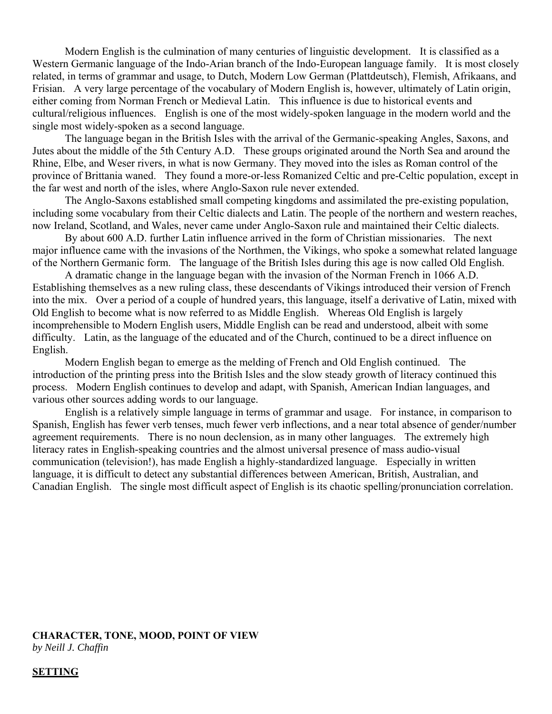Modern English is the culmination of many centuries of linguistic development. It is classified as a Western Germanic language of the Indo-Arian branch of the Indo-European language family. It is most closely related, in terms of grammar and usage, to Dutch, Modern Low German (Plattdeutsch), Flemish, Afrikaans, and Frisian. A very large percentage of the vocabulary of Modern English is, however, ultimately of Latin origin, either coming from Norman French or Medieval Latin. This influence is due to historical events and cultural/religious influences. English is one of the most widely-spoken language in the modern world and the single most widely-spoken as a second language.

 The language began in the British Isles with the arrival of the Germanic-speaking Angles, Saxons, and Jutes about the middle of the 5th Century A.D. These groups originated around the North Sea and around the Rhine, Elbe, and Weser rivers, in what is now Germany. They moved into the isles as Roman control of the province of Brittania waned. They found a more-or-less Romanized Celtic and pre-Celtic population, except in the far west and north of the isles, where Anglo-Saxon rule never extended.

 The Anglo-Saxons established small competing kingdoms and assimilated the pre-existing population, including some vocabulary from their Celtic dialects and Latin. The people of the northern and western reaches, now Ireland, Scotland, and Wales, never came under Anglo-Saxon rule and maintained their Celtic dialects.

 By about 600 A.D. further Latin influence arrived in the form of Christian missionaries. The next major influence came with the invasions of the Northmen, the Vikings, who spoke a somewhat related language of the Northern Germanic form. The language of the British Isles during this age is now called Old English.

 A dramatic change in the language began with the invasion of the Norman French in 1066 A.D. Establishing themselves as a new ruling class, these descendants of Vikings introduced their version of French into the mix. Over a period of a couple of hundred years, this language, itself a derivative of Latin, mixed with Old English to become what is now referred to as Middle English. Whereas Old English is largely incomprehensible to Modern English users, Middle English can be read and understood, albeit with some difficulty. Latin, as the language of the educated and of the Church, continued to be a direct influence on English.

 Modern English began to emerge as the melding of French and Old English continued. The introduction of the printing press into the British Isles and the slow steady growth of literacy continued this process. Modern English continues to develop and adapt, with Spanish, American Indian languages, and various other sources adding words to our language.

 English is a relatively simple language in terms of grammar and usage. For instance, in comparison to Spanish, English has fewer verb tenses, much fewer verb inflections, and a near total absence of gender/number agreement requirements. There is no noun declension, as in many other languages. The extremely high literacy rates in English-speaking countries and the almost universal presence of mass audio-visual communication (television!), has made English a highly-standardized language. Especially in written language, it is difficult to detect any substantial differences between American, British, Australian, and Canadian English. The single most difficult aspect of English is its chaotic spelling/pronunciation correlation.

# **CHARACTER, TONE, MOOD, POINT OF VIEW**

*by Neill J. Chaffin*

### **SETTING**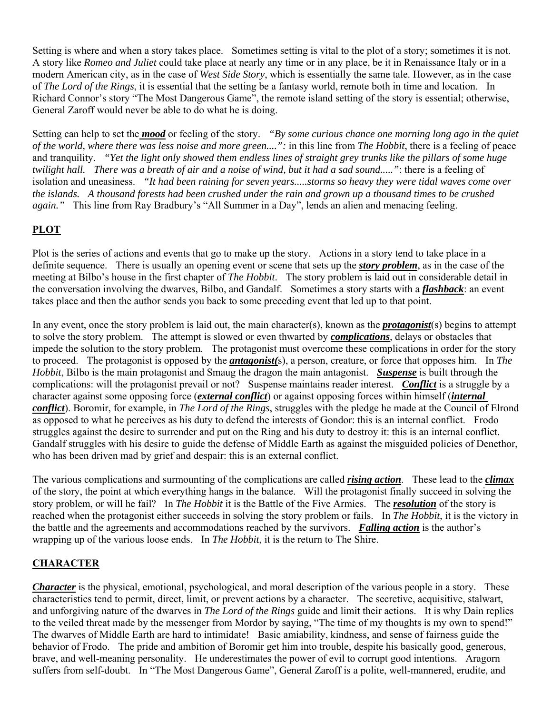Setting is where and when a story takes place. Sometimes setting is vital to the plot of a story; sometimes it is not. A story like *Romeo and Juliet* could take place at nearly any time or in any place, be it in Renaissance Italy or in a modern American city, as in the case of *West Side Story*, which is essentially the same tale. However, as in the case of *The Lord of the Rings*, it is essential that the setting be a fantasy world, remote both in time and location. In Richard Connor's story "The Most Dangerous Game", the remote island setting of the story is essential; otherwise, General Zaroff would never be able to do what he is doing.

Setting can help to set the *mood* or feeling of the story. *"By some curious chance one morning long ago in the quiet of the world, where there was less noise and more green....":* in this line from *The Hobbit*, there is a feeling of peace and tranquility. *"Yet the light only showed them endless lines of straight grey trunks like the pillars of some huge twilight hall. There was a breath of air and a noise of wind, but it had a sad sound....."*: there is a feeling of isolation and uneasiness. *"It had been raining for seven years.....storms so heavy they were tidal waves come over the islands. A thousand forests had been crushed under the rain and grown up a thousand times to be crushed again."* This line from Ray Bradbury's "All Summer in a Day", lends an alien and menacing feeling.

# **PLOT**

Plot is the series of actions and events that go to make up the story. Actions in a story tend to take place in a definite sequence. There is usually an opening event or scene that sets up the *story problem*, as in the case of the meeting at Bilbo's house in the first chapter of *The Hobbit*. The story problem is laid out in considerable detail in the conversation involving the dwarves, Bilbo, and Gandalf. Sometimes a story starts with a *flashback*: an event takes place and then the author sends you back to some preceding event that led up to that point.

In any event, once the story problem is laid out, the main character(s), known as the *protagonist*(s) begins to attempt to solve the story problem. The attempt is slowed or even thwarted by *complications*, delays or obstacles that impede the solution to the story problem. The protagonist must overcome these complications in order for the story to proceed. The protagonist is opposed by the *antagonist(*s), a person, creature, or force that opposes him. In *The Hobbit*, Bilbo is the main protagonist and Smaug the dragon the main antagonist. *Suspense* is built through the complications: will the protagonist prevail or not? Suspense maintains reader interest. *Conflict* is a struggle by a character against some opposing force (*external conflict*) or against opposing forces within himself (*internal conflict*). Boromir, for example, in *The Lord of the Rings*, struggles with the pledge he made at the Council of Elrond as opposed to what he perceives as his duty to defend the interests of Gondor: this is an internal conflict. Frodo struggles against the desire to surrender and put on the Ring and his duty to destroy it: this is an internal conflict. Gandalf struggles with his desire to guide the defense of Middle Earth as against the misguided policies of Denethor, who has been driven mad by grief and despair: this is an external conflict.

The various complications and surmounting of the complications are called *rising action*. These lead to the *climax* of the story, the point at which everything hangs in the balance. Will the protagonist finally succeed in solving the story problem, or will he fail? In *The Hobbit* it is the Battle of the Five Armies. The *resolution* of the story is reached when the protagonist either succeeds in solving the story problem or fails. In *The Hobbit*, it is the victory in the battle and the agreements and accommodations reached by the survivors. *Falling action* is the author's wrapping up of the various loose ends. In *The Hobbit*, it is the return to The Shire.

# **CHARACTER**

*Character* is the physical, emotional, psychological, and moral description of the various people in a story. These characteristics tend to permit, direct, limit, or prevent actions by a character. The secretive, acquisitive, stalwart, and unforgiving nature of the dwarves in *The Lord of the Rings* guide and limit their actions. It is why Dain replies to the veiled threat made by the messenger from Mordor by saying, "The time of my thoughts is my own to spend!" The dwarves of Middle Earth are hard to intimidate! Basic amiability, kindness, and sense of fairness guide the behavior of Frodo. The pride and ambition of Boromir get him into trouble, despite his basically good, generous, brave, and well-meaning personality. He underestimates the power of evil to corrupt good intentions. Aragorn suffers from self-doubt. In "The Most Dangerous Game", General Zaroff is a polite, well-mannered, erudite, and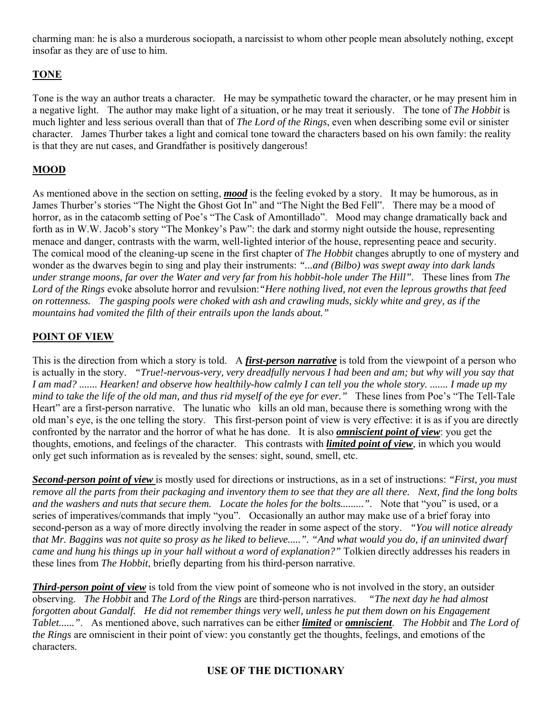charming man: he is also a murderous sociopath, a narcissist to whom other people mean absolutely nothing, except insofar as they are of use to him.

# **TONE**

Tone is the way an author treats a character. He may be sympathetic toward the character, or he may present him in a negative light. The author may make light of a situation, or he may treat it seriously. The tone of *The Hobbit* is much lighter and less serious overall than that of *The Lord of the Rings*, even when describing some evil or sinister character. James Thurber takes a light and comical tone toward the characters based on his own family: the reality is that they are nut cases, and Grandfather is positively dangerous!

# **MOOD**

As mentioned above in the section on setting, *mood* is the feeling evoked by a story. It may be humorous, as in James Thurber's stories "The Night the Ghost Got In" and "The Night the Bed Fell". There may be a mood of horror, as in the catacomb setting of Poe's "The Cask of Amontillado". Mood may change dramatically back and forth as in W.W. Jacob's story "The Monkey's Paw": the dark and stormy night outside the house, representing menace and danger, contrasts with the warm, well-lighted interior of the house, representing peace and security. The comical mood of the cleaning-up scene in the first chapter of *The Hobbit* changes abruptly to one of mystery and wonder as the dwarves begin to sing and play their instruments: *"...and (Bilbo) was swept away into dark lands under strange moons, far over the Water and very far from his hobbit-hole under The Hill".* These lines from *The Lord of the Rings* evoke absolute horror and revulsion:*"Here nothing lived, not even the leprous growths that feed on rottenness. The gasping pools were choked with ash and crawling muds, sickly white and grey, as if the mountains had vomited the filth of their entrails upon the lands about."*

# **POINT OF VIEW**

This is the direction from which a story is told. A *first-person narrative* is told from the viewpoint of a person who is actually in the story. *"True!-nervous-very, very dreadfully nervous I had been and am; but why will you say that I am mad? ....... Hearken! and observe how healthily-how calmly I can tell you the whole story. ....... I made up my mind to take the life of the old man, and thus rid myself of the eye for ever."* These lines from Poe's "The Tell-Tale Heart" are a first-person narrative. The lunatic who kills an old man, because there is something wrong with the old man's eye, is the one telling the story. This first-person point of view is very effective: it is as if you are directly confronted by the narrator and the horror of what he has done. It is also *omniscient point of view*: you get the thoughts, emotions, and feelings of the character. This contrasts with *limited point of view*, in which you would only get such information as is revealed by the senses: sight, sound, smell, etc.

*Second-person point of view* is mostly used for directions or instructions, as in a set of instructions: *"First, you must remove all the parts from their packaging and inventory them to see that they are all there. Next, find the long bolts and the washers and nuts that secure them. Locate the holes for the bolts........."*. Note that "you" is used, or a series of imperatives/commands that imply "you". Occasionally an author may make use of a brief foray into second-person as a way of more directly involving the reader in some aspect of the story. *"You will notice already that Mr. Baggins was not quite so prosy as he liked to believe.....". "And what would you do, if an uninvited dwarf came and hung his things up in your hall without a word of explanation?"* Tolkien directly addresses his readers in these lines from *The Hobbit*, briefly departing from his third-person narrative.

*Third-person point of view* is told from the view point of someone who is not involved in the story, an outsider observing. *The Hobbit* and *The Lord of the Rings* are third-person narratives. *"The next day he had almost forgotten about Gandalf. He did not remember things very well, unless he put them down on his Engagement Tablet......"*. As mentioned above, such narratives can be either *limited* or *omniscient*. *The Hobbit* and *The Lord of the Rings* are omniscient in their point of view: you constantly get the thoughts, feelings, and emotions of the characters.

# **USE OF THE DICTIONARY**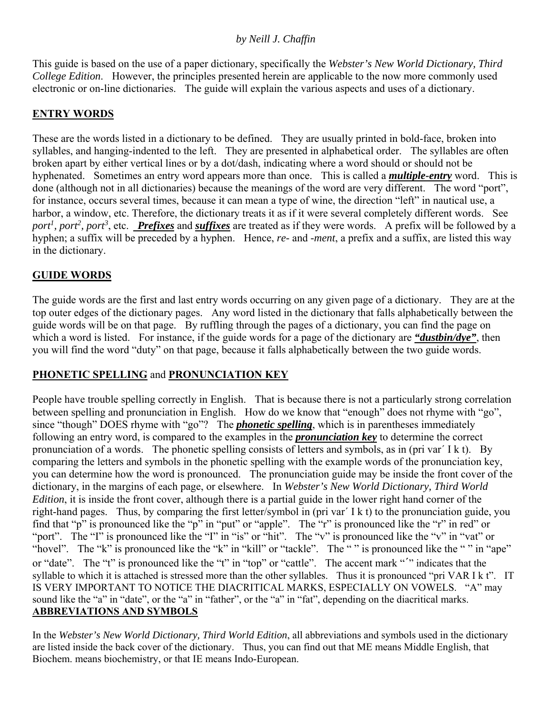# *by Neill J. Chaffin*

This guide is based on the use of a paper dictionary, specifically the *Webster's New World Dictionary, Third College Edition*. However, the principles presented herein are applicable to the now more commonly used electronic or on-line dictionaries. The guide will explain the various aspects and uses of a dictionary.

# **ENTRY WORDS**

These are the words listed in a dictionary to be defined. They are usually printed in bold-face, broken into syllables, and hanging-indented to the left. They are presented in alphabetical order. The syllables are often broken apart by either vertical lines or by a dot/dash, indicating where a word should or should not be hyphenated. Sometimes an entry word appears more than once. This is called a *multiple-entry* word. This is done (although not in all dictionaries) because the meanings of the word are very different. The word "port", for instance, occurs several times, because it can mean a type of wine, the direction "left" in nautical use, a harbor, a window, etc. Therefore, the dictionary treats it as if it were several completely different words. See port<sup>1</sup>, port<sup>2</sup>, port<sup>3</sup>, etc. *Prefixes* and *suffixes* are treated as if they were words. A prefix will be followed by a hyphen; a suffix will be preceded by a hyphen. Hence, *re-* and *-ment*, a prefix and a suffix, are listed this way in the dictionary.

# **GUIDE WORDS**

The guide words are the first and last entry words occurring on any given page of a dictionary. They are at the top outer edges of the dictionary pages. Any word listed in the dictionary that falls alphabetically between the guide words will be on that page. By ruffling through the pages of a dictionary, you can find the page on which a word is listed. For instance, if the guide words for a page of the dictionary are *"dustbin/dye"*, then you will find the word "duty" on that page, because it falls alphabetically between the two guide words.

# **PHONETIC SPELLING** and **PRONUNCIATION KEY**

People have trouble spelling correctly in English. That is because there is not a particularly strong correlation between spelling and pronunciation in English. How do we know that "enough" does not rhyme with "go", since "though" DOES rhyme with "go"? The *phonetic spelling*, which is in parentheses immediately following an entry word, is compared to the examples in the *pronunciation key* to determine the correct pronunciation of a words. The phonetic spelling consists of letters and symbols, as in (pri var´ I k t). By comparing the letters and symbols in the phonetic spelling with the example words of the pronunciation key, you can determine how the word is pronounced. The pronunciation guide may be inside the front cover of the dictionary, in the margins of each page, or elsewhere. In *Webster's New World Dictionary, Third World Edition*, it is inside the front cover, although there is a partial guide in the lower right hand corner of the right-hand pages. Thus, by comparing the first letter/symbol in (pri var´ I k t) to the pronunciation guide, you find that "p" is pronounced like the "p" in "put" or "apple". The "r" is pronounced like the "r" in red" or "port". The "I" is pronounced like the "I" in "is" or "hit". The "v" is pronounced like the "v" in "vat" or "hovel". The "k" is pronounced like the "k" in "kill" or "tackle". The "" is pronounced like the "" in "ape" or "date". The "t" is pronounced like the "t" in "top" or "cattle". The accent mark "´" indicates that the syllable to which it is attached is stressed more than the other syllables. Thus it is pronounced "pri VAR I k t". IT IS VERY IMPORTANT TO NOTICE THE DIACRITICAL MARKS, ESPECIALLY ON VOWELS. "A" may sound like the "a" in "date", or the "a" in "father", or the "a" in "fat", depending on the diacritical marks. **ABBREVIATIONS AND SYMBOLS**

In the *Webster's New World Dictionary, Third World Edition*, all abbreviations and symbols used in the dictionary are listed inside the back cover of the dictionary. Thus, you can find out that ME means Middle English, that Biochem. means biochemistry, or that IE means Indo-European.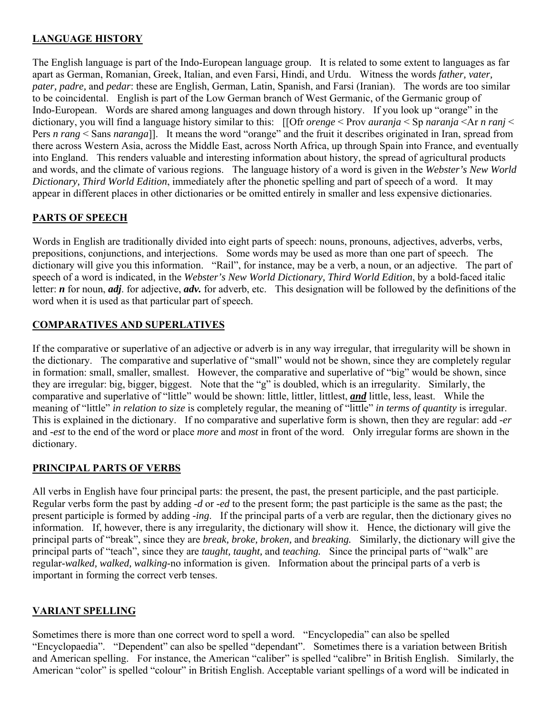# **LANGUAGE HISTORY**

The English language is part of the Indo-European language group. It is related to some extent to languages as far apart as German, Romanian, Greek, Italian, and even Farsi, Hindi, and Urdu. Witness the words *father, vater, pater, padre,* and *pedar*: these are English, German, Latin, Spanish, and Farsi (Iranian). The words are too similar to be coincidental. English is part of the Low German branch of West Germanic, of the Germanic group of Indo-European. Words are shared among languages and down through history. If you look up "orange" in the dictionary, you will find a language history similar to this: [[Ofr *orenge* < Prov *auranja* < Sp *naranja* <Ar *n ranj* < Pers *n rang* < Sans *naranga*]]. It means the word "orange" and the fruit it describes originated in Iran, spread from there across Western Asia, across the Middle East, across North Africa, up through Spain into France, and eventually into England. This renders valuable and interesting information about history, the spread of agricultural products and words, and the climate of various regions. The language history of a word is given in the *Webster's New World Dictionary, Third World Edition*, immediately after the phonetic spelling and part of speech of a word. It may appear in different places in other dictionaries or be omitted entirely in smaller and less expensive dictionaries.

# **PARTS OF SPEECH**

Words in English are traditionally divided into eight parts of speech: nouns, pronouns, adjectives, adverbs, verbs, prepositions, conjunctions, and interjections. Some words may be used as more than one part of speech. The dictionary will give you this information. "Rail", for instance, may be a verb, a noun, or an adjective. The part of speech of a word is indicated, in the *Webster's New World Dictionary, Third World Edition*, by a bold-faced italic letter: *n* for noun, *adj*. for adjective, *adv.* for adverb, etc. This designation will be followed by the definitions of the word when it is used as that particular part of speech.

# **COMPARATIVES AND SUPERLATIVES**

If the comparative or superlative of an adjective or adverb is in any way irregular, that irregularity will be shown in the dictionary. The comparative and superlative of "small" would not be shown, since they are completely regular in formation: small, smaller, smallest. However, the comparative and superlative of "big" would be shown, since they are irregular: big, bigger, biggest. Note that the "g" is doubled, which is an irregularity. Similarly, the comparative and superlative of "little" would be shown: little, littler, littlest, *and* little, less, least. While the meaning of "little" *in relation to size* is completely regular, the meaning of "little" *in terms of quantity* is irregular. This is explained in the dictionary. If no comparative and superlative form is shown, then they are regular: add *-er* and *-est* to the end of the word or place *more* and *most* in front of the word. Only irregular forms are shown in the dictionary.

# **PRINCIPAL PARTS OF VERBS**

All verbs in English have four principal parts: the present, the past, the present participle, and the past participle. Regular verbs form the past by adding *-d* or *-ed* to the present form; the past participle is the same as the past; the present participle is formed by adding *-ing*. If the principal parts of a verb are regular, then the dictionary gives no information. If, however, there is any irregularity, the dictionary will show it. Hence, the dictionary will give the principal parts of "break", since they are *break, broke, broken,* and *breaking.* Similarly, the dictionary will give the principal parts of "teach", since they are *taught, taught,* and *teaching.* Since the principal parts of "walk" are regular-*walked, walked, walking*-no information is given. Information about the principal parts of a verb is important in forming the correct verb tenses.

# **VARIANT SPELLING**

Sometimes there is more than one correct word to spell a word. "Encyclopedia" can also be spelled "Encyclopaedia". "Dependent" can also be spelled "dependant". Sometimes there is a variation between British and American spelling. For instance, the American "caliber" is spelled "calibre" in British English. Similarly, the American "color" is spelled "colour" in British English. Acceptable variant spellings of a word will be indicated in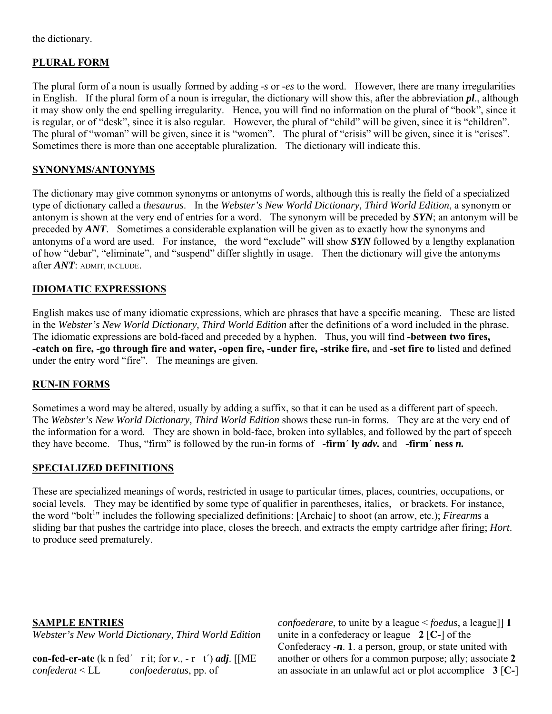the dictionary.

# **PLURAL FORM**

The plural form of a noun is usually formed by adding *-s* or *-es* to the word. However, there are many irregularities in English. If the plural form of a noun is irregular, the dictionary will show this, after the abbreviation *pl*., although it may show only the end spelling irregularity. Hence, you will find no information on the plural of "book", since it is regular, or of "desk", since it is also regular. However, the plural of "child" will be given, since it is "children". The plural of "woman" will be given, since it is "women". The plural of "crisis" will be given, since it is "crises". Sometimes there is more than one acceptable pluralization. The dictionary will indicate this.

### **SYNONYMS/ANTONYMS**

The dictionary may give common synonyms or antonyms of words, although this is really the field of a specialized type of dictionary called a *thesaurus*. In the *Webster's New World Dictionary, Third World Edition*, a synonym or antonym is shown at the very end of entries for a word. The synonym will be preceded by *SYN*; an antonym will be preceded by *ANT*. Sometimes a considerable explanation will be given as to exactly how the synonyms and antonyms of a word are used. For instance, the word "exclude" will show *SYN* followed by a lengthy explanation of how "debar", "eliminate", and "suspend" differ slightly in usage. Then the dictionary will give the antonyms after *ANT*: ADMIT, INCLUDE.

### **IDIOMATIC EXPRESSIONS**

English makes use of many idiomatic expressions, which are phrases that have a specific meaning. These are listed in the *Webster's New World Dictionary, Third World Edition* after the definitions of a word included in the phrase. The idiomatic expressions are bold-faced and preceded by a hyphen. Thus, you will find **-between two fires, -catch on fire, -go through fire and water, -open fire, -under fire, -strike fire,** and **-set fire to** listed and defined under the entry word "fire". The meanings are given.

### **RUN-IN FORMS**

Sometimes a word may be altered, usually by adding a suffix, so that it can be used as a different part of speech. The *Webster's New World Dictionary, Third World Edition* shows these run-in forms. They are at the very end of the information for a word. They are shown in bold-face, broken into syllables, and followed by the part of speech they have become. Thus, "firm" is followed by the run-in forms of **-firm´ ly** *adv.* and **-firm´ ness** *n.*

#### **SPECIALIZED DEFINITIONS**

These are specialized meanings of words, restricted in usage to particular times, places, countries, occupations, or social levels. They may be identified by some type of qualifier in parentheses, italics, or brackets. For instance, the word "bolt<sup>1</sup>" includes the following specialized definitions: [Archaic] to shoot (an arrow, etc.); *Firearms* a sliding bar that pushes the cartridge into place, closes the breech, and extracts the empty cartridge after firing; *Hort*. to produce seed prematurely.

#### **SAMPLE ENTRIES**

*Webster's New World Dictionary, Third World Edition*

**con-fed-er-ate** (k n fed<sup>'</sup> r it; for  $v_1$ ,  $-r$  t') *adj*. [[ME *confederat* < LL *confoederatus*, pp. of

*confoederare*, to unite by a league < *foedus*, a league]] **1** unite in a confederacy or league **2** [**C-**] of the Confederacy *-n*. **1**. a person, group, or state united with another or others for a common purpose; ally; associate **2**  an associate in an unlawful act or plot accomplice **3** [**C-**]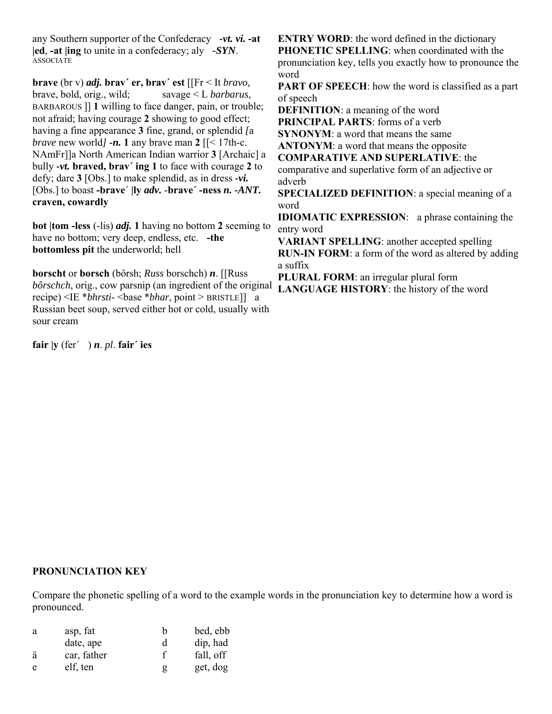any Southern supporter of the Confederacy *-vt. vi.* **-at |ed**, **-at |ing** to unite in a confederacy; aly *-SYN*. ASSOCIATE

**brave** (br v) *adj.* **brav´ er, brav´ est** [[Fr < It *bravo*, brave, bold, orig., wild; savage < L *barbarus*, BARBAROUS ]] **1** willing to face danger, pain, or trouble; not afraid; having courage **2** showing to good effect; having a fine appearance **3** fine, grand, or splendid *[*a *brave* new world*] -n.* 1 any brave man 2  $\left[\frac{\text{S}}{\text{S}}\right]$  [ $\left[\text{S} \right]$  17th-c. NAmFr]]a North American Indian warrior **3** [Archaic] a bully *-vt.* **braved, brav´ ing 1** to face with courage **2** to defy; dare **3** [Obs.] to make splendid, as in dress *-vi.* [Obs.] to boast **-brave**´ **|ly** *adv.* -**brave´ -ness** *n. -ANT.* **craven, cowardly**

**bot |tom -less** (-lis) *adj.* **1** having no bottom **2** seeming to have no bottom; very deep, endless, etc. **-the bottomless pit** the underworld; hell

**borscht** or **borsch** (bôrsh; *Russ* borschch) *n*. [[Russ *bôrschch*, orig., cow parsnip (an ingredient of the original recipe) <IE \**bhrsti*- <br/>**base** \**bhar*, point > BRISTLE]] a Russian beet soup, served either hot or cold, usually with sour cream

**fair |y** (fer´ ) *n*. *pl*. **fair´ ies**

**ENTRY WORD**: the word defined in the dictionary **PHONETIC SPELLING**: when coordinated with the pronunciation key, tells you exactly how to pronounce the word

**PART OF SPEECH:** how the word is classified as a part of speech

**DEFINITION**: a meaning of the word **PRINCIPAL PARTS**: forms of a verb

**SYNONYM**: a word that means the same

**ANTONYM**: a word that means the opposite

**COMPARATIVE AND SUPERLATIVE**: the

comparative and superlative form of an adjective or adverb

**SPECIALIZED DEFINITION**: a special meaning of a word

**IDIOMATIC EXPRESSION**: a phrase containing the entry word

**VARIANT SPELLING**: another accepted spelling **RUN-IN FORM**: a form of the word as altered by adding a suffix

**PLURAL FORM**: an irregular plural form **LANGUAGE HISTORY**: the history of the word

#### **PRONUNCIATION KEY**

Compare the phonetic spelling of a word to the example words in the pronunciation key to determine how a word is pronounced.

| a | asp, fat    | h | bed, ebb  |
|---|-------------|---|-----------|
|   | date, ape   | d | dip, had  |
| ä | car, father | f | fall, off |
| e | elf, ten    | g | get, dog  |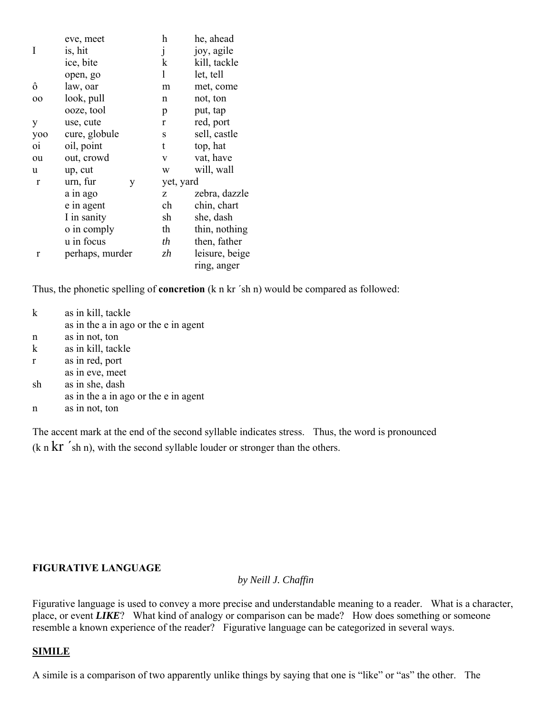|                | eve, meet       | h         | he, ahead      |
|----------------|-----------------|-----------|----------------|
| I              | is, hit         | j         | joy, agile     |
|                | ice, bite       | k         | kill, tackle   |
|                | open, go        | 1         | let, tell      |
| ô              | law, oar        | m         | met, come      |
| oo             | look, pull      | n         | not, ton       |
|                | ooze, tool      | p         | put, tap       |
| y              | use, cute       | r         | red, port      |
| yoo            | cure, globule   | S         | sell, castle   |
| O <sub>1</sub> | oil, point      | t         | top, hat       |
| ou             | out, crowd      | V         | vat, have      |
| u              | up, cut         | W         | will, wall     |
| r              | urn, fur<br>У   | yet, yard |                |
|                | a in ago        | Z         | zebra, dazzle  |
|                | e in agent      | ch        | chin, chart    |
|                | I in sanity     | sh        | she, dash      |
|                | o in comply     | th        | thin, nothing  |
|                | u in focus      | th        | then, father   |
| r              | perhaps, murder | zh        | leisure, beige |
|                |                 |           | ring, anger    |

Thus, the phonetic spelling of **concretion** (k n kr ´sh n) would be compared as followed:

| $\bf k$ | as in kill, tackle                   |
|---------|--------------------------------------|
|         | as in the a in ago or the e in agent |
| n       | as in not, ton                       |
| $\bf k$ | as in kill, tackle                   |
| r       | as in red, port                      |
|         | as in eve, meet                      |
| sh      | as in she, dash                      |
|         | as in the a in ago or the e in agent |
| n       | as in not, ton                       |
|         |                                      |

The accent mark at the end of the second syllable indicates stress. Thus, the word is pronounced  $(k \, n \, kr \, 'sh \, n)$ , with the second syllable louder or stronger than the others.

# **FIGURATIVE LANGUAGE**

*by Neill J. Chaffin*

Figurative language is used to convey a more precise and understandable meaning to a reader. What is a character, place, or event *LIKE*? What kind of analogy or comparison can be made? How does something or someone resemble a known experience of the reader? Figurative language can be categorized in several ways.

### **SIMILE**

A simile is a comparison of two apparently unlike things by saying that one is "like" or "as" the other. The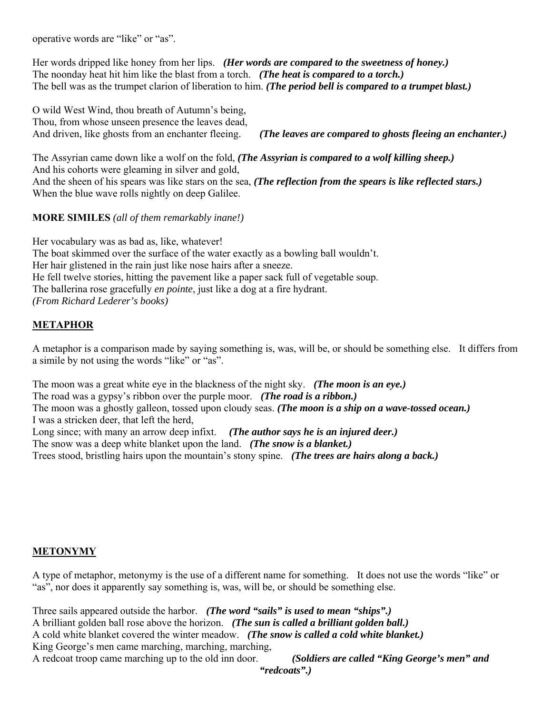operative words are "like" or "as".

Her words dripped like honey from her lips. *(Her words are compared to the sweetness of honey.)* The noonday heat hit him like the blast from a torch. *(The heat is compared to a torch.)* The bell was as the trumpet clarion of liberation to him. *(The period bell is compared to a trumpet blast.)*

O wild West Wind, thou breath of Autumn's being, Thou, from whose unseen presence the leaves dead, And driven, like ghosts from an enchanter fleeing. *(The leaves are compared to ghosts fleeing an enchanter.)*

The Assyrian came down like a wolf on the fold, *(The Assyrian is compared to a wolf killing sheep.)* And his cohorts were gleaming in silver and gold, And the sheen of his spears was like stars on the sea, *(The reflection from the spears is like reflected stars.)* When the blue wave rolls nightly on deep Galilee.

**MORE SIMILES** *(all of them remarkably inane!)*

Her vocabulary was as bad as, like, whatever! The boat skimmed over the surface of the water exactly as a bowling ball wouldn't. Her hair glistened in the rain just like nose hairs after a sneeze. He fell twelve stories, hitting the pavement like a paper sack full of vegetable soup. The ballerina rose gracefully *en pointe*, just like a dog at a fire hydrant. *(From Richard Lederer's books)*

### **METAPHOR**

A metaphor is a comparison made by saying something is, was, will be, or should be something else. It differs from a simile by not using the words "like" or "as".

The moon was a great white eye in the blackness of the night sky. *(The moon is an eye.)* The road was a gypsy's ribbon over the purple moor. *(The road is a ribbon.)* The moon was a ghostly galleon, tossed upon cloudy seas. *(The moon is a ship on a wave-tossed ocean.)* I was a stricken deer, that left the herd, Long since; with many an arrow deep infixt. *(The author says he is an injured deer.)* The snow was a deep white blanket upon the land. *(The snow is a blanket.)* Trees stood, bristling hairs upon the mountain's stony spine. *(The trees are hairs along a back.)*

# **METONYMY**

A type of metaphor, metonymy is the use of a different name for something. It does not use the words "like" or "as", nor does it apparently say something is, was, will be, or should be something else.

Three sails appeared outside the harbor. *(The word "sails" is used to mean "ships".)* A brilliant golden ball rose above the horizon. *(The sun is called a brilliant golden ball.)* A cold white blanket covered the winter meadow. *(The snow is called a cold white blanket.)* King George's men came marching, marching, marching, A redcoat troop came marching up to the old inn door. *(Soldiers are called "King George's men" and* 

 *"redcoats".)*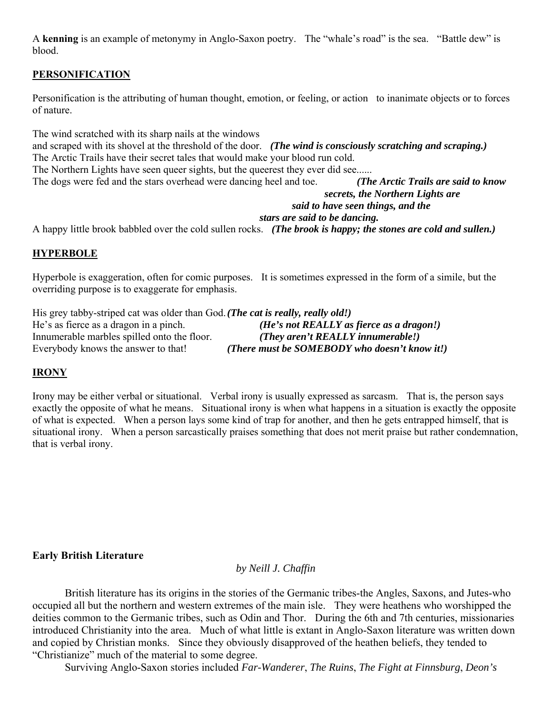A **kenning** is an example of metonymy in Anglo-Saxon poetry. The "whale's road" is the sea. "Battle dew" is blood.

# **PERSONIFICATION**

Personification is the attributing of human thought, emotion, or feeling, or action to inanimate objects or to forces of nature.

The wind scratched with its sharp nails at the windows

and scraped with its shovel at the threshold of the door. *(The wind is consciously scratching and scraping.)* The Arctic Trails have their secret tales that would make your blood run cold. The Northern Lights have seen queer sights, but the queerest they ever did see...... The dogs were fed and the stars overhead were dancing heel and toe. *(The Arctic Trails are said to know secrets, the Northern Lights are said to have seen things, and the* 

#### *stars are said to be dancing.*

A happy little brook babbled over the cold sullen rocks. *(The brook is happy; the stones are cold and sullen.)* 

### **HYPERBOLE**

Hyperbole is exaggeration, often for comic purposes. It is sometimes expressed in the form of a simile, but the overriding purpose is to exaggerate for emphasis.

His grey tabby-striped cat was older than God. *(The cat is really, really old!)* He's as fierce as a dragon in a pinch. *(He's not REALLY as fierce as a dragon!)* Innumerable marbles spilled onto the floor. *(They aren't REALLY innumerable!)* Everybody knows the answer to that! *(There must be SOMEBODY who doesn't know it!)*

#### **IRONY**

Irony may be either verbal or situational. Verbal irony is usually expressed as sarcasm. That is, the person says exactly the opposite of what he means. Situational irony is when what happens in a situation is exactly the opposite of what is expected. When a person lays some kind of trap for another, and then he gets entrapped himself, that is situational irony. When a person sarcastically praises something that does not merit praise but rather condemnation, that is verbal irony.

**Early British Literature**

### *by Neill J. Chaffin*

 British literature has its origins in the stories of the Germanic tribes-the Angles, Saxons, and Jutes-who occupied all but the northern and western extremes of the main isle. They were heathens who worshipped the deities common to the Germanic tribes, such as Odin and Thor. During the 6th and 7th centuries, missionaries introduced Christianity into the area. Much of what little is extant in Anglo-Saxon literature was written down and copied by Christian monks. Since they obviously disapproved of the heathen beliefs, they tended to "Christianize" much of the material to some degree.

Surviving Anglo-Saxon stories included *Far-Wanderer*, *The Ruins*, *The Fight at Finnsburg*, *Deon's*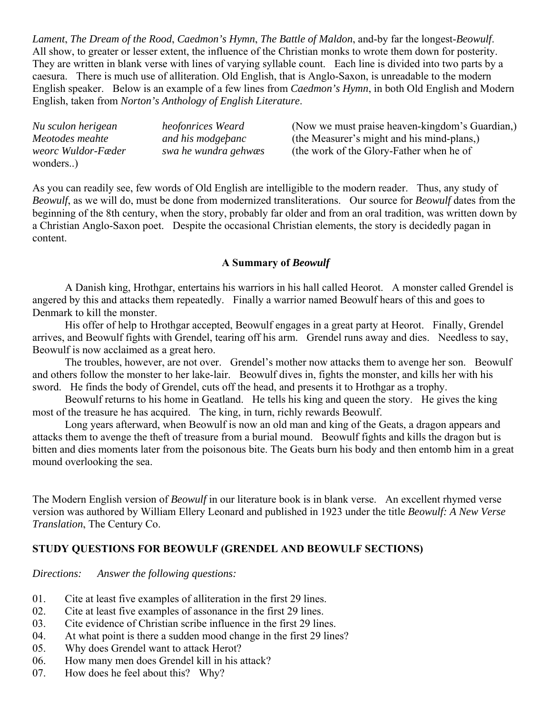*Lament*, *The Dream of the Rood*, *Caedmon's Hymn*, *The Battle of Maldon*, and-by far the longest-*Beowulf*. All show, to greater or lesser extent, the influence of the Christian monks to wrote them down for posterity. They are written in blank verse with lines of varying syllable count. Each line is divided into two parts by a caesura. There is much use of alliteration. Old English, that is Anglo-Saxon, is unreadable to the modern English speaker. Below is an example of a few lines from *Caedmon's Hymn*, in both Old English and Modern English, taken from *Norton's Anthology of English Literature*.

*Nu sculon herigean heofonrices Weard* (Now we must praise heaven-kingdom's Guardian,) *Meotodes meahte and his modgeþanc* (the Measurer's might and his mind-plans,) *weorc Wuldor-Fæder swa he wundra gehwæs* (the work of the Glory-Father when he of wonders..)

As you can readily see, few words of Old English are intelligible to the modern reader. Thus, any study of *Beowulf*, as we will do, must be done from modernized transliterations. Our source for *Beowulf* dates from the beginning of the 8th century, when the story, probably far older and from an oral tradition, was written down by a Christian Anglo-Saxon poet. Despite the occasional Christian elements, the story is decidedly pagan in content.

# **A Summary of** *Beowulf*

 A Danish king, Hrothgar, entertains his warriors in his hall called Heorot. A monster called Grendel is angered by this and attacks them repeatedly. Finally a warrior named Beowulf hears of this and goes to Denmark to kill the monster.

 His offer of help to Hrothgar accepted, Beowulf engages in a great party at Heorot. Finally, Grendel arrives, and Beowulf fights with Grendel, tearing off his arm. Grendel runs away and dies. Needless to say, Beowulf is now acclaimed as a great hero.

 The troubles, however, are not over. Grendel's mother now attacks them to avenge her son. Beowulf and others follow the monster to her lake-lair. Beowulf dives in, fights the monster, and kills her with his sword. He finds the body of Grendel, cuts off the head, and presents it to Hrothgar as a trophy.

 Beowulf returns to his home in Geatland. He tells his king and queen the story. He gives the king most of the treasure he has acquired. The king, in turn, richly rewards Beowulf.

 Long years afterward, when Beowulf is now an old man and king of the Geats, a dragon appears and attacks them to avenge the theft of treasure from a burial mound. Beowulf fights and kills the dragon but is bitten and dies moments later from the poisonous bite. The Geats burn his body and then entomb him in a great mound overlooking the sea.

The Modern English version of *Beowulf* in our literature book is in blank verse. An excellent rhymed verse version was authored by William Ellery Leonard and published in 1923 under the title *Beowulf: A New Verse Translation*, The Century Co.

# **STUDY QUESTIONS FOR BEOWULF (GRENDEL AND BEOWULF SECTIONS)**

*Directions: Answer the following questions:*

- 01. Cite at least five examples of alliteration in the first 29 lines.
- 02. Cite at least five examples of assonance in the first 29 lines.
- 03. Cite evidence of Christian scribe influence in the first 29 lines.
- 04. At what point is there a sudden mood change in the first 29 lines?
- 05. Why does Grendel want to attack Herot?
- 06. How many men does Grendel kill in his attack?
- 07. How does he feel about this? Why?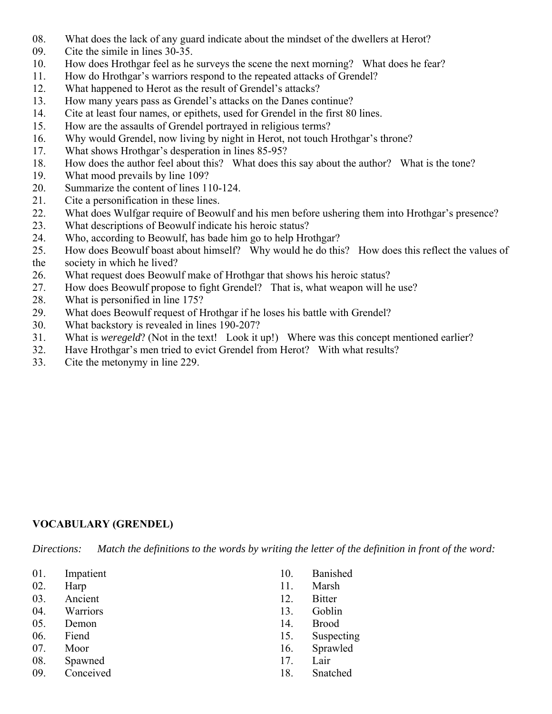- 08. What does the lack of any guard indicate about the mindset of the dwellers at Herot?
- 09. Cite the simile in lines 30-35.
- 10. How does Hrothgar feel as he surveys the scene the next morning? What does he fear?
- 11. How do Hrothgar's warriors respond to the repeated attacks of Grendel?
- 12. What happened to Herot as the result of Grendel's attacks?
- 13. How many years pass as Grendel's attacks on the Danes continue?
- 14. Cite at least four names, or epithets, used for Grendel in the first 80 lines.
- 15. How are the assaults of Grendel portrayed in religious terms?
- 16. Why would Grendel, now living by night in Herot, not touch Hrothgar's throne?
- 17. What shows Hrothgar's desperation in lines 85-95?
- 18. How does the author feel about this? What does this say about the author? What is the tone?
- 19. What mood prevails by line 109?
- 20. Summarize the content of lines 110-124.
- 21. Cite a personification in these lines.
- 22. What does Wulfgar require of Beowulf and his men before ushering them into Hrothgar's presence?
- 23. What descriptions of Beowulf indicate his heroic status?
- 24. Who, according to Beowulf, has bade him go to help Hrothgar?
- 25. How does Beowulf boast about himself? Why would he do this? How does this reflect the values of
- the society in which he lived?
- 26. What request does Beowulf make of Hrothgar that shows his heroic status?
- 27. How does Beowulf propose to fight Grendel? That is, what weapon will he use?
- 28. What is personified in line 175?
- 29. What does Beowulf request of Hrothgar if he loses his battle with Grendel?
- 30. What backstory is revealed in lines 190-207?
- 31. What is *weregeld*? (Not in the text! Look it up!) Where was this concept mentioned earlier?
- 32. Have Hrothgar's men tried to evict Grendel from Herot? With what results?
- 33. Cite the metonymy in line 229.

# **VOCABULARY (GRENDEL)**

*Directions: Match the definitions to the words by writing the letter of the definition in front of the word:*

- 01. Impatient
- 02. Harp
- 03. Ancient
- 04. Warriors
- 05. Demon
- 06. Fiend
- 07. Moor
- 08. Spawned
- 09. Conceived
- 10. Banished
- 11. Marsh
- 12. Bitter
- 13. Goblin
- 14. Brood
- 15. Suspecting
- 16. Sprawled
- 17. Lair
- 18. Snatched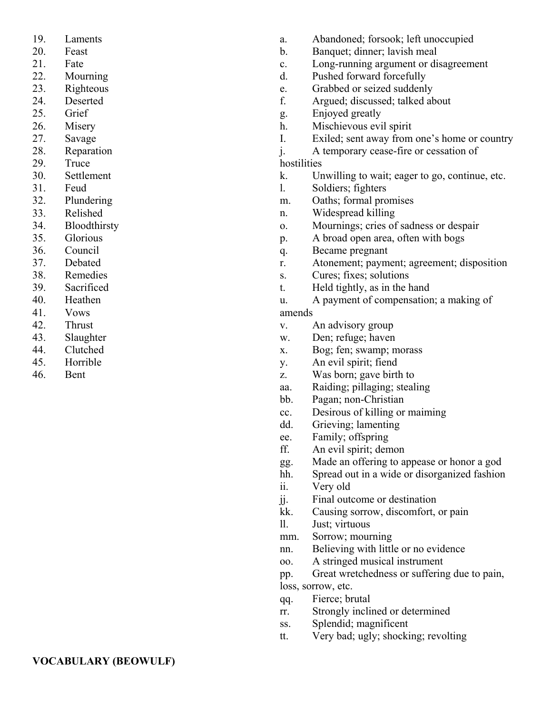- 19. Laments
- 20. Feast
- 21. Fate
- 22. Mourning
- 23. Righteous
- 24. Deserted
- 25. Grief
- 26. Misery
- 27. Savage
- 28. Reparation
- 29. Truce
- 30. Settlement
- 31. Feud
- 32. Plundering
- 33. Relished
- 34. Bloodthirsty
- 35. Glorious
- 36. Council
- 37. Debated
- 38. Remedies
- 39. Sacrificed
- 40. Heathen
- 41. Vows
- 42. Thrust
- 43. Slaughter
- 44. Clutched
- 45. Horrible
- 46. Bent
- a. Abandoned; forsook; left unoccupied
- b. Banquet; dinner; lavish meal
- c. Long-running argument or disagreement
- d. Pushed forward forcefully
- e. Grabbed or seized suddenly
- f. Argued; discussed; talked about
- g. Enjoyed greatly
- h. Mischievous evil spirit
- I. Exiled; sent away from one's home or country
- j. A temporary cease-fire or cessation of

# hostilities

- k. Unwilling to wait; eager to go, continue, etc.
- l. Soldiers; fighters
- m. Oaths; formal promises
- n. Widespread killing
- o. Mournings; cries of sadness or despair
- p. A broad open area, often with bogs
- q. Became pregnant
- r. Atonement; payment; agreement; disposition
- s. Cures; fixes; solutions
- t. Held tightly, as in the hand
- u. A payment of compensation; a making of

# amends

- v. An advisory group
- w. Den; refuge; haven
- x. Bog; fen; swamp; morass
- y. An evil spirit; fiend
- z. Was born; gave birth to
- aa. Raiding; pillaging; stealing
- bb. Pagan; non-Christian
- cc. Desirous of killing or maiming
- dd. Grieving; lamenting
- ee. Family; offspring
- ff. An evil spirit; demon
- gg. Made an offering to appease or honor a god
- hh. Spread out in a wide or disorganized fashion
- ii. Very old
- jj. Final outcome or destination
- kk. Causing sorrow, discomfort, or pain
- ll. Just; virtuous
- mm. Sorrow; mourning
- nn. Believing with little or no evidence
- oo. A stringed musical instrument
- pp. Great wretchedness or suffering due to pain, loss, sorrow, etc.
- qq. Fierce; brutal
- rr. Strongly inclined or determined
- ss. Splendid; magnificent
- tt. Very bad; ugly; shocking; revolting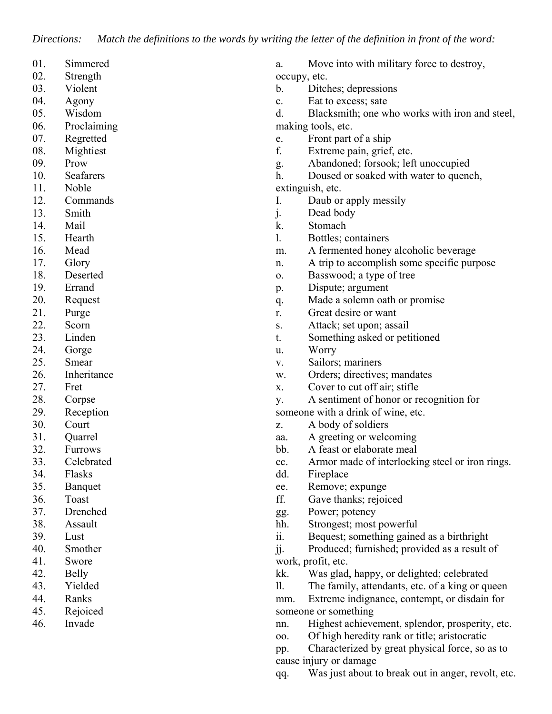- 01. Simmered
- 02. Strength
- 03. Violent
- 04. Agony
- 05. Wisdom
- 06. Proclaiming
- 07. Regretted
- 08. Mightiest
- 09. Prow
- 10. Seafarers
- 11. Noble
- 12. Commands
- 13. Smith
- 14. Mail
- 15. Hearth
- 16. Mead
- 17. Glory
- 18. Deserted
- 19. Errand
- 20. Request
- 21. Purge
- 22. Scorn
- 23. Linden
- 24. Gorge
- 25. Smear
- 26. Inheritance
- 27. Fret
- 28. Corpse
- 29. Reception
- 30. Court
- 31. Quarrel
- 32. Furrows
- 33. Celebrated
- 34. Flasks
- 35. Banquet
- 36. Toast
- 37. Drenched
- 38. Assault
- 39. Lust
- 40. Smother
- 41. Swore
- 42. Belly
- 43. Yielded
- 44. Ranks
- 45. Rejoiced
- 46. Invade
- a. Move into with military force to destroy, occupy, etc.
- b. Ditches; depressions
- c. Eat to excess; sate
- d. Blacksmith; one who works with iron and steel, making tools, etc.
- e. Front part of a ship
- f. Extreme pain, grief, etc.
- g. Abandoned; forsook; left unoccupied
- h. Doused or soaked with water to quench,
- extinguish, etc.
- I. Daub or apply messily
- j. Dead body
- k. Stomach
- l. Bottles; containers
- m. A fermented honey alcoholic beverage
- n. A trip to accomplish some specific purpose
- o. Basswood; a type of tree
- p. Dispute; argument
- q. Made a solemn oath or promise
- r. Great desire or want
- s. Attack; set upon; assail
- t. Something asked or petitioned
- u. Worry
- v. Sailors; mariners
- w. Orders; directives; mandates
- x. Cover to cut off air; stifle
- y. A sentiment of honor or recognition for
- someone with a drink of wine, etc.
- z. A body of soldiers
- aa. A greeting or welcoming
- bb. A feast or elaborate meal
- cc. Armor made of interlocking steel or iron rings.
- dd. Fireplace
- ee. Remove; expunge
- ff. Gave thanks; rejoiced
- gg. Power; potency
- hh. Strongest; most powerful
- ii. Bequest; something gained as a birthright
- jj. Produced; furnished; provided as a result of work, profit, etc.
- kk. Was glad, happy, or delighted; celebrated
- ll. The family, attendants, etc. of a king or queen
- mm. Extreme indignance, contempt, or disdain for someone or something
- nn. Highest achievement, splendor, prosperity, etc.
- oo. Of high heredity rank or title; aristocratic
- pp. Characterized by great physical force, so as to cause injury or damage
- qq. Was just about to break out in anger, revolt, etc.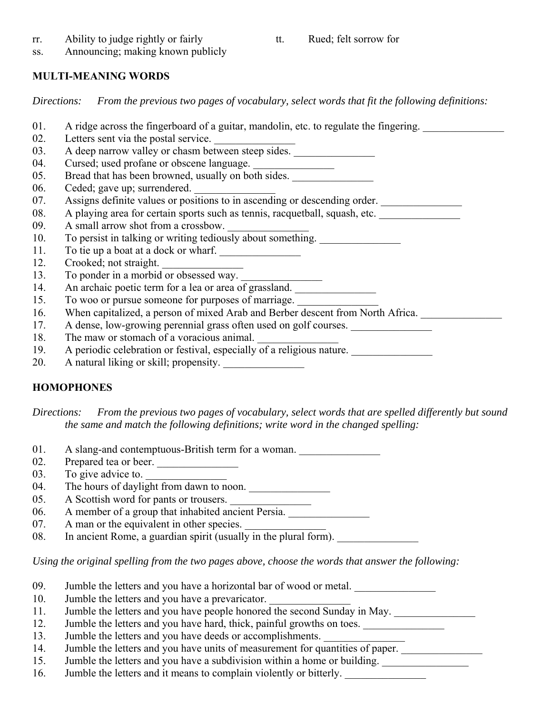- rr. Ability to judge rightly or fairly
- tt. Rued; felt sorrow for
- ss. Announcing; making known publicly

# **MULTI-MEANING WORDS**

*Directions: From the previous two pages of vocabulary, select words that fit the following definitions:*

- 01. A ridge across the fingerboard of a guitar, mandolin, etc. to regulate the fingering.
- 02. Letters sent via the postal service.
- 03. A deep narrow valley or chasm between steep sides.
- 04. Cursed; used profane or obscene language. \_\_\_\_\_\_\_\_\_\_\_\_\_\_\_\_\_\_\_\_\_\_\_\_\_\_\_\_\_\_\_\_\_\_
- 05. Bread that has been browned, usually on both sides.
- 06. Ceded; gave up; surrendered.
- 07. Assigns definite values or positions to in ascending or descending order.
- 08. A playing area for certain sports such as tennis, racquetball, squash, etc.
- 09. A small arrow shot from a crossbow.
- 10. To persist in talking or writing tediously about something.
- 11. To tie up a boat at a dock or wharf.
- 12. Crooked; not straight.
- 13. To ponder in a morbid or obsessed way.
- 14. An archaic poetic term for a lea or area of grassland.
- 15. To woo or pursue someone for purposes of marriage.
- 16. When capitalized, a person of mixed Arab and Berber descent from North Africa.
- 17. A dense, low-growing perennial grass often used on golf courses.
- 18. The maw or stomach of a voracious animal.
- 19. A periodic celebration or festival, especially of a religious nature.
- 20. A natural liking or skill; propensity.

# **HOMOPHONES**

*Directions: From the previous two pages of vocabulary, select words that are spelled differently but sound the same and match the following definitions; write word in the changed spelling:*

- 01. A slang-and contemptuous-British term for a woman.
- 02. Prepared tea or beer.
- 03. To give advice to.  $\frac{1}{\sqrt{1-\frac{1}{2}}}\$
- 04. The hours of daylight from dawn to noon.  $\Box$
- 05. A Scottish word for pants or trousers.
- 06. A member of a group that inhabited ancient Persia.
- 07. A man or the equivalent in other species.
- 08. In ancient Rome, a guardian spirit (usually in the plural form).

*Using the original spelling from the two pages above, choose the words that answer the following:*

- 09. Jumble the letters and you have a horizontal bar of wood or metal.
- 10. Jumble the letters and you have a prevaricator.
- 11. Jumble the letters and you have people honored the second Sunday in May.
- 12. Jumble the letters and you have hard, thick, painful growths on toes.
- 13. Jumble the letters and you have deeds or accomplishments.
- 14. Jumble the letters and you have units of measurement for quantities of paper.
- 15. Jumble the letters and you have a subdivision within a home or building.
- 16. Jumble the letters and it means to complain violently or bitterly.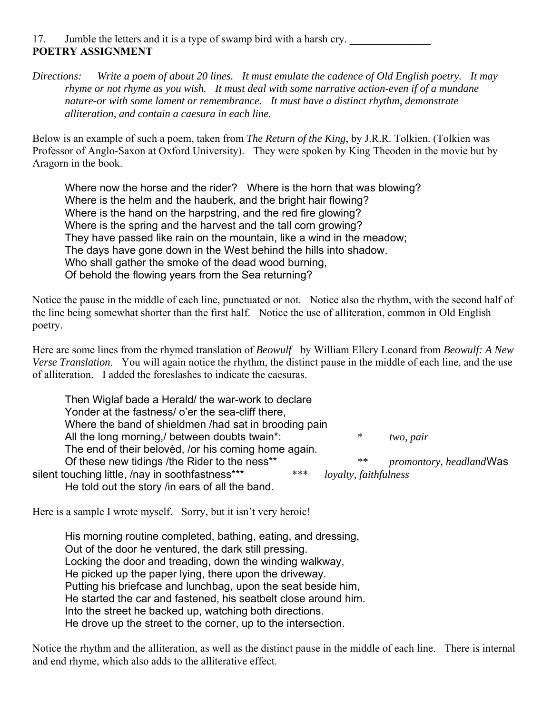17. Jumble the letters and it is a type of swamp bird with a harsh cry. **POETRY ASSIGNMENT**

*Directions: Write a poem of about 20 lines. It must emulate the cadence of Old English poetry. It may rhyme or not rhyme as you wish. It must deal with some narrative action-even if of a mundane nature-or with some lament or remembrance. It must have a distinct rhythm, demonstrate alliteration, and contain a caesura in each line.* 

Below is an example of such a poem, taken from *The Return of the King*, by J.R.R. Tolkien. (Tolkien was Professor of Anglo-Saxon at Oxford University). They were spoken by King Theoden in the movie but by Aragorn in the book.

Where now the horse and the rider? Where is the horn that was blowing? Where is the helm and the hauberk, and the bright hair flowing? Where is the hand on the harpstring, and the red fire glowing? Where is the spring and the harvest and the tall corn growing? They have passed like rain on the mountain, like a wind in the meadow; The days have gone down in the West behind the hills into shadow. Who shall gather the smoke of the dead wood burning, Of behold the flowing years from the Sea returning?

Notice the pause in the middle of each line, punctuated or not. Notice also the rhythm, with the second half of the line being somewhat shorter than the first half. Notice the use of alliteration, common in Old English poetry.

Here are some lines from the rhymed translation of *Beowulf* by William Ellery Leonard from *Beowulf: A New Verse Translation*. You will again notice the rhythm, the distinct pause in the middle of each line, and the use of alliteration. I added the foreslashes to indicate the caesuras.

Then Wiglaf bade a Herald/ the war-work to declare Yonder at the fastness/ o'er the sea-cliff there, Where the band of shieldmen /had sat in brooding pain All the long morning,/ between doubts twain\*: *\* two, pair* The end of their belovèd, /or his coming home again. Of these new tidings /the Rider to the ness\*\* *\*\* promontory, headland* Was silent touching little, /nay in soothfastness\*\*\* \*\*\* \*\*\* *loyalty, faithfulness* He told out the story /in ears of all the band.

Here is a sample I wrote myself. Sorry, but it isn't very heroic!

His morning routine completed, bathing, eating, and dressing, Out of the door he ventured, the dark still pressing. Locking the door and treading, down the winding walkway, He picked up the paper lying, there upon the driveway. Putting his briefcase and lunchbag, upon the seat beside him, He started the car and fastened, his seatbelt close around him. Into the street he backed up, watching both directions. He drove up the street to the corner, up to the intersection.

Notice the rhythm and the alliteration, as well as the distinct pause in the middle of each line. There is internal and end rhyme, which also adds to the alliterative effect.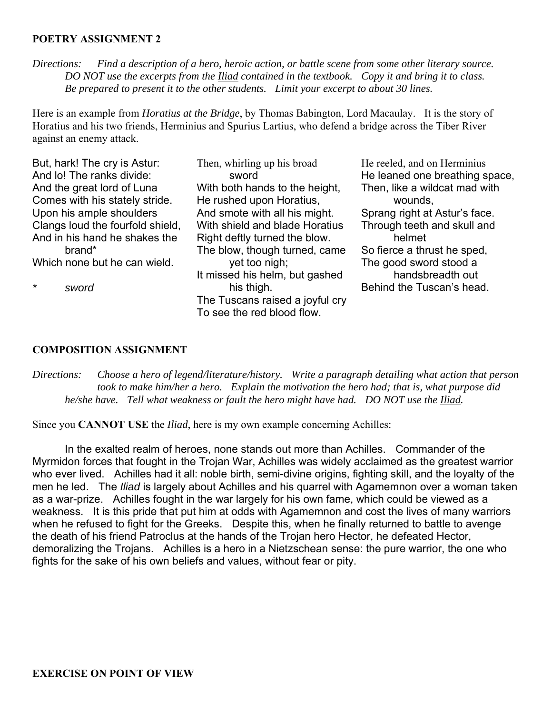## **POETRY ASSIGNMENT 2**

*Directions: Find a description of a hero, heroic action, or battle scene from some other literary source. DO NOT use the excerpts from the Iliad contained in the textbook. Copy it and bring it to class. Be prepared to present it to the other students. Limit your excerpt to about 30 lines.*

Here is an example from *Horatius at the Bridge*, by Thomas Babington, Lord Macaulay. It is the story of Horatius and his two friends, Herminius and Spurius Lartius, who defend a bridge across the Tiber River against an enemy attack.

But, hark! The cry is Astur: And lo! The ranks divide: And the great lord of Luna Comes with his stately stride. Upon his ample shoulders Clangs loud the fourfold shield, And in his hand he shakes the brand\* Which none but he can wield.

*\* sword*

Then, whirling up his broad sword With both hands to the height, He rushed upon Horatius, And smote with all his might. With shield and blade Horatius Right deftly turned the blow. The blow, though turned, came yet too nigh; It missed his helm, but gashed his thigh. The Tuscans raised a joyful cry To see the red blood flow.

He reeled, and on Herminius He leaned one breathing space, Then, like a wildcat mad with wounds, Sprang right at Astur's face. Through teeth and skull and helmet So fierce a thrust he sped, The good sword stood a handsbreadth out Behind the Tuscan's head.

### **COMPOSITION ASSIGNMENT**

*Directions: Choose a hero of legend/literature/history. Write a paragraph detailing what action that person took to make him/her a hero. Explain the motivation the hero had; that is, what purpose did he/she have. Tell what weakness or fault the hero might have had. DO NOT use the Iliad.*

Since you **CANNOT USE** the *Iliad*, here is my own example concerning Achilles:

In the exalted realm of heroes, none stands out more than Achilles. Commander of the Myrmidon forces that fought in the Trojan War, Achilles was widely acclaimed as the greatest warrior who ever lived. Achilles had it all: noble birth, semi-divine origins, fighting skill, and the loyalty of the men he led. The *Iliad* is largely about Achilles and his quarrel with Agamemnon over a woman taken as a war-prize. Achilles fought in the war largely for his own fame, which could be viewed as a weakness. It is this pride that put him at odds with Agamemnon and cost the lives of many warriors when he refused to fight for the Greeks. Despite this, when he finally returned to battle to avenge the death of his friend Patroclus at the hands of the Trojan hero Hector, he defeated Hector, demoralizing the Trojans. Achilles is a hero in a Nietzschean sense: the pure warrior, the one who fights for the sake of his own beliefs and values, without fear or pity.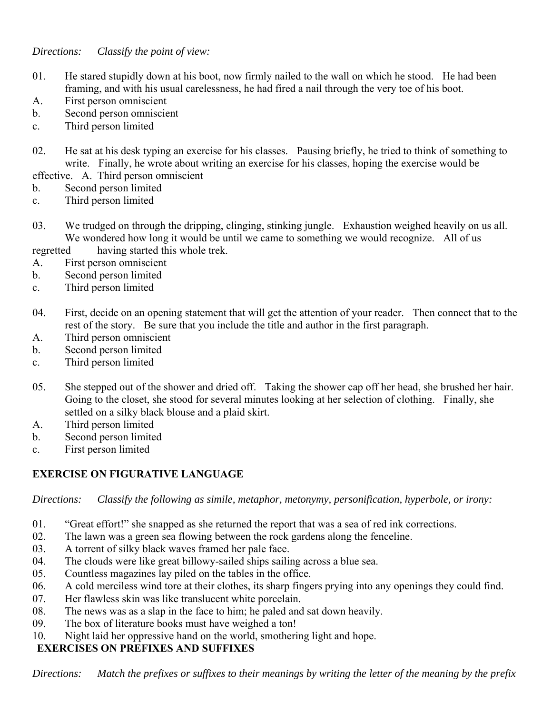# *Directions: Classify the point of view:*

- 01. He stared stupidly down at his boot, now firmly nailed to the wall on which he stood. He had been framing, and with his usual carelessness, he had fired a nail through the very toe of his boot.
- A. First person omniscient
- b. Second person omniscient
- c. Third person limited
- 02. He sat at his desk typing an exercise for his classes. Pausing briefly, he tried to think of something to write. Finally, he wrote about writing an exercise for his classes, hoping the exercise would be
- effective. A. Third person omniscient
- b. Second person limited
- c. Third person limited
- 03. We trudged on through the dripping, clinging, stinking jungle. Exhaustion weighed heavily on us all. We wondered how long it would be until we came to something we would recognize. All of us
- regretted having started this whole trek.
- A. First person omniscient
- b. Second person limited
- c. Third person limited
- 04. First, decide on an opening statement that will get the attention of your reader. Then connect that to the rest of the story. Be sure that you include the title and author in the first paragraph.
- A. Third person omniscient
- b. Second person limited
- c. Third person limited
- 05. She stepped out of the shower and dried off. Taking the shower cap off her head, she brushed her hair. Going to the closet, she stood for several minutes looking at her selection of clothing. Finally, she settled on a silky black blouse and a plaid skirt.
- A. Third person limited
- b. Second person limited
- c. First person limited

# **EXERCISE ON FIGURATIVE LANGUAGE**

*Directions: Classify the following as simile, metaphor, metonymy, personification, hyperbole, or irony:*

- 01. "Great effort!" she snapped as she returned the report that was a sea of red ink corrections.
- 02. The lawn was a green sea flowing between the rock gardens along the fenceline.
- 03. A torrent of silky black waves framed her pale face.
- 04. The clouds were like great billowy-sailed ships sailing across a blue sea.
- 05. Countless magazines lay piled on the tables in the office.
- 06. A cold merciless wind tore at their clothes, its sharp fingers prying into any openings they could find.
- 07. Her flawless skin was like translucent white porcelain.
- 08. The news was as a slap in the face to him; he paled and sat down heavily.
- 09. The box of literature books must have weighed a ton!
- 10. Night laid her oppressive hand on the world, smothering light and hope.

# **EXERCISES ON PREFIXES AND SUFFIXES**

*Directions: Match the prefixes or suffixes to their meanings by writing the letter of the meaning by the prefix*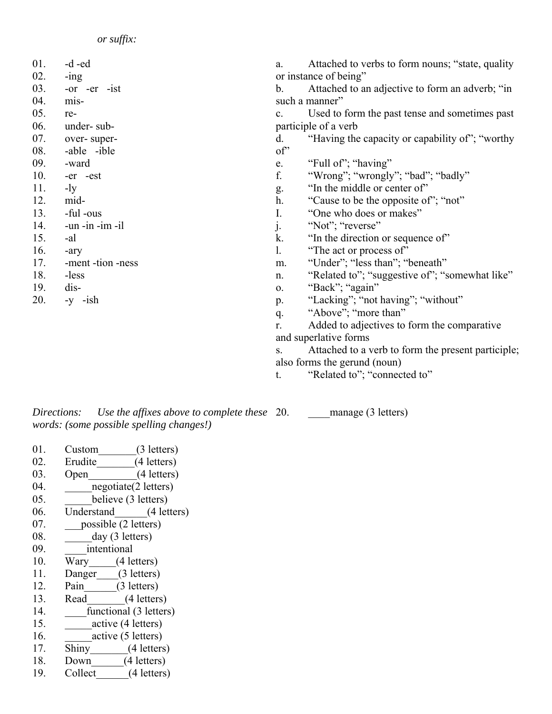- 01. -d -ed
- 02. -ing
- 03. -or -er -ist
- 04. mis-05. re-
- 06. under- sub-
- 07. over- super-
- 08. -able -ible
- 09. -ward
- 10. -er -est
- 11. -ly
- 12. mid-
- $13.$  -ful -ous
- 14. -un -in -im -il
- 15. -al
- 16. -ary
- 17. -ment -tion -ness
- 18. -less
- 19. dis-
- 20.  $-y$   $-$ ish

a. Attached to verbs to form nouns; "state, quality or instance of being"

b. Attached to an adjective to form an adverb; "in such a manner"

c. Used to form the past tense and sometimes past participle of a verb

- d. "Having the capacity or capability of"; "worthy  $\alpha$ <sup>"</sup>
- e. "Full of"; "having"
- f. "Wrong"; "wrongly"; "bad"; "badly"
- g. "In the middle or center of"
- h. "Cause to be the opposite of"; "not"
- I. "One who does or makes"
- j. "Not"; "reverse"
- k. "In the direction or sequence of"
- l. "The act or process of"
- m. "Under"; "less than"; "beneath"
- n. "Related to"; "suggestive of"; "somewhat like"
- o. "Back"; "again"
- p. "Lacking"; "not having"; "without"
- q. "Above"; "more than"

r. Added to adjectives to form the comparative and superlative forms

- s. Attached to a verb to form the present participle; also forms the gerund (noun)
- t. "Related to"; "connected to"

*Directions: Use the affixes above to complete these words: (some possible spelling changes!)*

manage (3 letters)

- 01. Custom (3 letters)
- 02. Erudite (4 letters)
- 03. Open (4 letters)
- 04. hegotiate(2 letters)
- 05. believe (3 letters)
- 06. Understand (4 letters)
- 07. possible (2 letters)
- 08. **\_\_\_\_**day (3 letters)
- 09. *intentional*
- 10. Wary (4 letters)
- 11. Danger (3 letters)
- 12. Pain (3 letters) 13. Read<sub>(4 letters)</sub>
- 14. **functional (3 letters)**
- 15. active (4 letters)
- 16. active (5 letters)
- 17. Shiny (4 letters)
- 18. Down (4 letters)
- 19. Collect (4 letters)